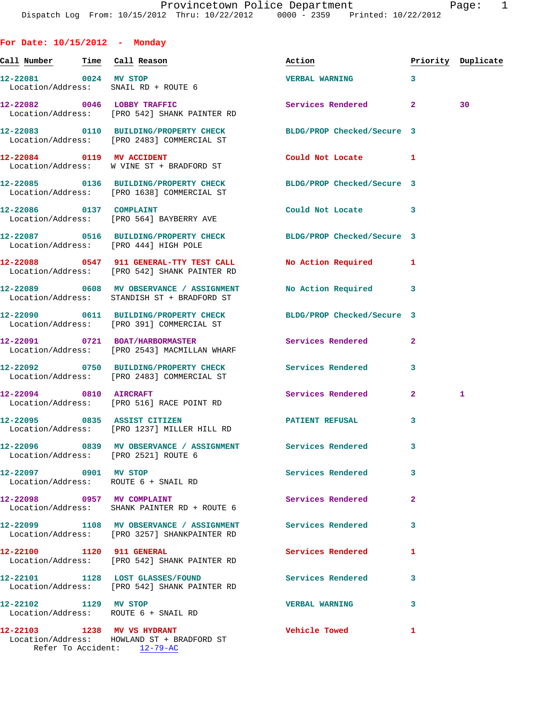**Call Number Time Call Reason Action Priority Duplicate 12-22081 0024 MV STOP VERBAL WARNING 3**  Location/Address: SNAIL RD + ROUTE 6 **12-22082 0046 LOBBY TRAFFIC Services Rendered 2 30**  Location/Address: [PRO 542] SHANK PAINTER RD **12-22083 0110 BUILDING/PROPERTY CHECK BLDG/PROP Checked/Secure 3**  Location/Address: [PRO 2483] COMMERCIAL ST **12-22084 0119 MV ACCIDENT Could Not Locate 1**  Location/Address: W VINE ST + BRADFORD ST **12-22085 0136 BUILDING/PROPERTY CHECK BLDG/PROP Checked/Secure 3**  Location/Address: [PRO 1638] COMMERCIAL ST **12-22086 0137 COMPLAINT Could Not Locate 3**  Location/Address: [PRO 564] BAYBERRY AVE **12-22087 0516 BUILDING/PROPERTY CHECK BLDG/PROP Checked/Secure 3**  Location/Address: [PRO 444] HIGH POLE **12-22088 0547 911 GENERAL-TTY TEST CALL No Action Required 1**  Location/Address: [PRO 542] SHANK PAINTER RD **12-22089 0608 MV OBSERVANCE / ASSIGNMENT No Action Required 3**  Location/Address: STANDISH ST + BRADFORD ST **12-22090 0611 BUILDING/PROPERTY CHECK BLDG/PROP Checked/Secure 3**  Location/Address: [PRO 391] COMMERCIAL ST **12-22091 0721 BOAT/HARBORMASTER Services Rendered 2**  Location/Address: [PRO 2543] MACMILLAN WHARF **12-22092 0750 BUILDING/PROPERTY CHECK Services Rendered 3**  Location/Address: [PRO 2483] COMMERCIAL ST **12-22094 0810 AIRCRAFT Services Rendered 2 1**  Location/Address: [PRO 516] RACE POINT RD **12-22095 0835 ASSIST CITIZEN PATIENT REFUSAL 3**  Location/Address: [PRO 1237] MILLER HILL RD **12-22096 0839 MV OBSERVANCE / ASSIGNMENT Services Rendered 3**  Location/Address: [PRO 2521] ROUTE 6 **12-22097 0901 MV STOP Services Rendered 3**  Location/Address: ROUTE 6 + SNAIL RD **12-22098 0957 MV COMPLAINT Services Rendered 2**  Location/Address: SHANK PAINTER RD + ROUTE 6 **12-22099 1108 MV OBSERVANCE / ASSIGNMENT Services Rendered 3**  Location/Address: [PRO 3257] SHANKPAINTER RD **12-22100 1120 911 GENERAL Services Rendered 1**  Location/Address: [PRO 542] SHANK PAINTER RD **12-22101 1128 LOST GLASSES/FOUND Services Rendered 3**  Location/Address: [PRO 542] SHANK PAINTER RD **12-22102 1129 MV STOP VERBAL WARNING 3** 

**12-22103 1238 MV VS HYDRANT Vehicle Towed 1**  Location/Address: HOWLAND ST + BRADFORD ST Refer To Accident: 12-79-AC

Location/Address: ROUTE 6 + SNAIL RD

**For Date: 10/15/2012 - Monday**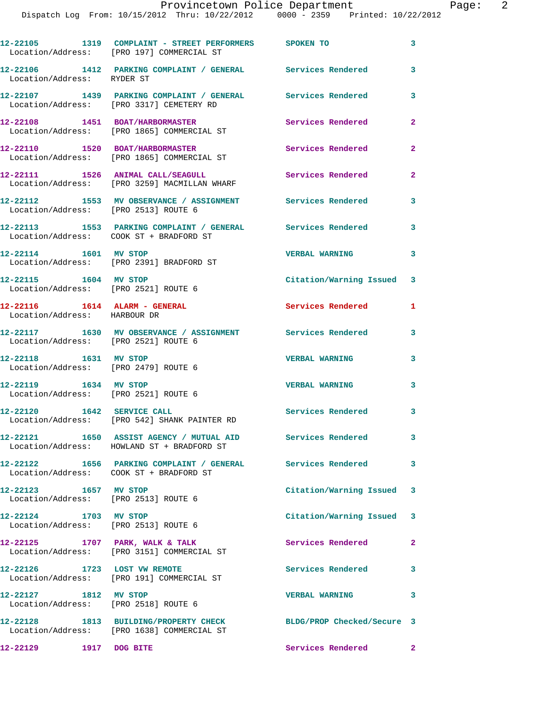|                                                                   | 12-22105 1319 COMPLAINT - STREET PERFORMERS SPOKEN TO<br>Location/Address: [PRO 197] COMMERCIAL ST             |                           | 3                          |
|-------------------------------------------------------------------|----------------------------------------------------------------------------------------------------------------|---------------------------|----------------------------|
| Location/Address: RYDER ST                                        | 12-22106 1412 PARKING COMPLAINT / GENERAL Services Rendered                                                    |                           | $\mathbf{3}$               |
|                                                                   | 12-22107 1439 PARKING COMPLAINT / GENERAL Services Rendered<br>Location/Address: [PRO 3317] CEMETERY RD        |                           | 3                          |
| 12-22108 1451 BOAT/HARBORMASTER                                   | Location/Address: [PRO 1865] COMMERCIAL ST                                                                     | Services Rendered         | $\mathbf{2}$               |
|                                                                   | 12-22110 1520 BOAT/HARBORMASTER<br>Location/Address: [PRO 1865] COMMERCIAL ST                                  | Services Rendered         | $\mathbf{2}$               |
|                                                                   | 12-22111 1526 ANIMAL CALL/SEAGULL<br>Location/Address: [PRO 3259] MACMILLAN WHARF                              | Services Rendered         | $\mathbf{2}$               |
| Location/Address: [PRO 2513] ROUTE 6                              | 12-22112 1553 MV OBSERVANCE / ASSIGNMENT Services Rendered                                                     |                           | 3                          |
| Location/Address: COOK ST + BRADFORD ST                           | 12-22113 1553 PARKING COMPLAINT / GENERAL Services Rendered                                                    |                           | 3                          |
| 12-22114 1601 MV STOP                                             | Location/Address: [PRO 2391] BRADFORD ST                                                                       | <b>VERBAL WARNING</b>     | $\mathbf{3}$               |
| 12-22115   1604   MV STOP<br>Location/Address: [PRO 2521] ROUTE 6 |                                                                                                                | Citation/Warning Issued   | 3                          |
| Location/Address: HARBOUR DR                                      |                                                                                                                | Services Rendered         | 1                          |
| Location/Address: [PRO 2521] ROUTE 6                              | 12-22117 1630 MV OBSERVANCE / ASSIGNMENT Services Rendered                                                     |                           | 3                          |
| 12-22118 1631 MV STOP<br>Location/Address: [PRO 2479] ROUTE 6     |                                                                                                                | <b>VERBAL WARNING</b>     | 3                          |
| 12-22119    1634 MV STOP<br>Location/Address: [PRO 2521] ROUTE 6  |                                                                                                                | <b>VERBAL WARNING</b>     | 3                          |
| 12-22120   1642 SERVICE CALL                                      | Location/Address: [PRO 542] SHANK PAINTER RD                                                                   | Services Rendered         | 3                          |
|                                                                   | 12-22121 1650 ASSIST AGENCY / MUTUAL AID<br>Location/Address: HOWLAND ST + BRADFORD ST                         | <b>Services Rendered</b>  | $\mathbf{3}$               |
| Location/Address: COOK ST + BRADFORD ST                           | 12-22122 1656 PARKING COMPLAINT / GENERAL Services Rendered                                                    |                           | $\overline{\phantom{a}}$ 3 |
| 12-22123 1657 MV STOP<br>Location/Address: [PRO 2513] ROUTE 6     |                                                                                                                | Citation/Warning Issued 3 |                            |
| 12-22124 1703 MV STOP<br>Location/Address: [PRO 2513] ROUTE 6     |                                                                                                                | Citation/Warning Issued 3 |                            |
|                                                                   | 12-22125 1707 PARK, WALK & TALK<br>Location/Address: [PRO 3151] COMMERCIAL ST                                  | Services Rendered         | $\mathbf{2}$               |
| 12-22126 1723 LOST VW REMOTE                                      | Location/Address: [PRO 191] COMMERCIAL ST                                                                      | Services Rendered 3       |                            |
| 12-22127 1812 MV STOP<br>Location/Address: [PRO 2518] ROUTE 6     |                                                                                                                | <b>VERBAL WARNING</b>     | 3                          |
|                                                                   | 12-22128 1813 BUILDING/PROPERTY CHECK BLDG/PROP Checked/Secure 3<br>Location/Address: [PRO 1638] COMMERCIAL ST |                           |                            |
| 12-22129 1917 DOG BITE                                            |                                                                                                                | Services Rendered         | $\mathbf{2}$               |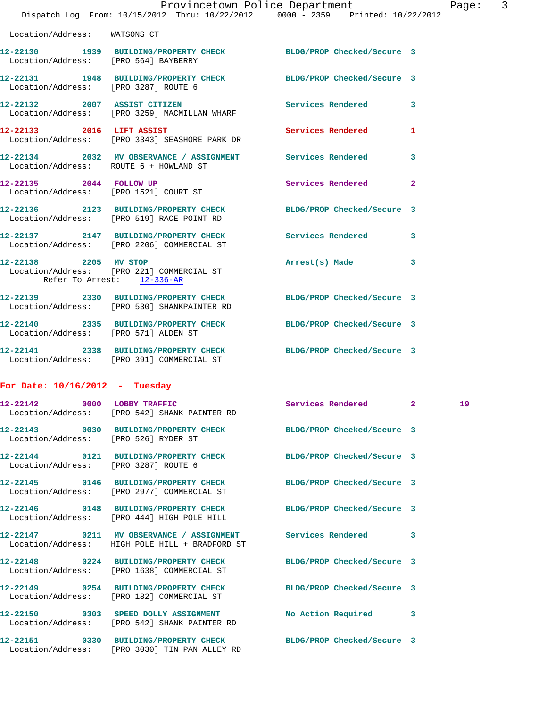|                                                     |                                                                                     | Provincetown Police Department<br>Dispatch Log From: 10/15/2012 Thru: 10/22/2012 0000 - 2359 Printed: 10/22/2012 | Page               |
|-----------------------------------------------------|-------------------------------------------------------------------------------------|------------------------------------------------------------------------------------------------------------------|--------------------|
| Location/Address: WATSONS CT                        |                                                                                     |                                                                                                                  |                    |
|                                                     | Location/Address: [PRO 564] BAYBERRY                                                | 12-22130 1939 BUILDING/PROPERTY CHECK BLDG/PROP Checked/Secure 3                                                 |                    |
|                                                     | Location/Address: [PRO 3287] ROUTE 6                                                | 12-22131 1948 BUILDING/PROPERTY CHECK BLDG/PROP Checked/Secure 3                                                 |                    |
|                                                     | Location/Address: [PRO 3259] MACMILLAN WHARF                                        | 12-22132 2007 ASSIST CITIZEN Services Rendered 3                                                                 |                    |
|                                                     | 12-22133 2016 LIFT ASSIST<br>Location/Address: [PRO 3343] SEASHORE PARK DR          | Services Rendered                                                                                                | 1                  |
|                                                     | Location/Address: ROUTE 6 + HOWLAND ST                                              | 12-22134 2032 MV OBSERVANCE / ASSIGNMENT Services Rendered                                                       | 3                  |
|                                                     | 12-22135 2044 FOLLOW UP<br>Location/Address: [PRO 1521] COURT ST                    | Services Rendered                                                                                                | $\overline{a}$     |
|                                                     | Location/Address: [PRO 519] RACE POINT RD                                           | 12-22136 2123 BUILDING/PROPERTY CHECK BLDG/PROP Checked/Secure 3                                                 |                    |
|                                                     |                                                                                     | 12-22137 2147 BUILDING/PROPERTY CHECK Services Rendered 3<br>Location/Address: [PRO 2206] COMMERCIAL ST          |                    |
| 12-22138 2205 MV STOP<br>Refer To Arrest: 12-336-AR | Location/Address: [PRO 221] COMMERCIAL ST                                           | Arrest(s) Made                                                                                                   | 3                  |
|                                                     | Location/Address: [PRO 530] SHANKPAINTER RD                                         | 12-22139 2330 BUILDING/PROPERTY CHECK BLDG/PROP Checked/Secure 3                                                 |                    |
|                                                     | Location/Address: [PRO 571] ALDEN ST                                                | 12-22140 2335 BUILDING/PROPERTY CHECK BLDG/PROP Checked/Secure 3                                                 |                    |
|                                                     | Location/Address: [PRO 391] COMMERCIAL ST                                           | 12-22141 2338 BUILDING/PROPERTY CHECK BLDG/PROP Checked/Secure 3                                                 |                    |
| For Date: $10/16/2012$ - Tuesday                    |                                                                                     |                                                                                                                  |                    |
|                                                     | 12-22142 0000 LOBBY TRAFFIC<br>Location/Address: [PRO 542] SHANK PAINTER RD         | Services Rendered                                                                                                | 19<br>$\mathbf{2}$ |
|                                                     | Location/Address: [PRO 526] RYDER ST                                                | 12-22143 0030 BUILDING/PROPERTY CHECK BLDG/PROP Checked/Secure 3                                                 |                    |
|                                                     | Location/Address: [PRO 3287] ROUTE 6                                                | 12-22144 0121 BUILDING/PROPERTY CHECK BLDG/PROP Checked/Secure 3                                                 |                    |
|                                                     | 12-22145 0146 BUILDING/PROPERTY CHECK<br>Location/Address: [PRO 2977] COMMERCIAL ST | BLDG/PROP Checked/Secure 3                                                                                       |                    |
|                                                     | 12-22146 0148 BUILDING/PROPERTY CHECK<br>Location/Address: [PRO 444] HIGH POLE HILL | BLDG/PROP Checked/Secure 3                                                                                       |                    |
|                                                     | Location/Address: HIGH POLE HILL + BRADFORD ST                                      | 12-22147 0211 MV OBSERVANCE / ASSIGNMENT Services Rendered                                                       | 3                  |
|                                                     | 12-22148 0224 BUILDING/PROPERTY CHECK<br>Location/Address: [PRO 1638] COMMERCIAL ST | BLDG/PROP Checked/Secure 3                                                                                       |                    |
|                                                     |                                                                                     |                                                                                                                  |                    |

**12-22149 0254 BUILDING/PROPERTY CHECK BLDG/PROP Checked/Secure 3**  Location/Address: [PRO 182] COMMERCIAL ST **12-22150 0303 SPEED DOLLY ASSIGNMENT No Action Required 3**  Location/Address: [PRO 542] SHANK PAINTER RD

**12-22151 0330 BUILDING/PROPERTY CHECK BLDG/PROP Checked/Secure 3**  Location/Address: [PRO 3030] TIN PAN ALLEY RD

Page:  $3$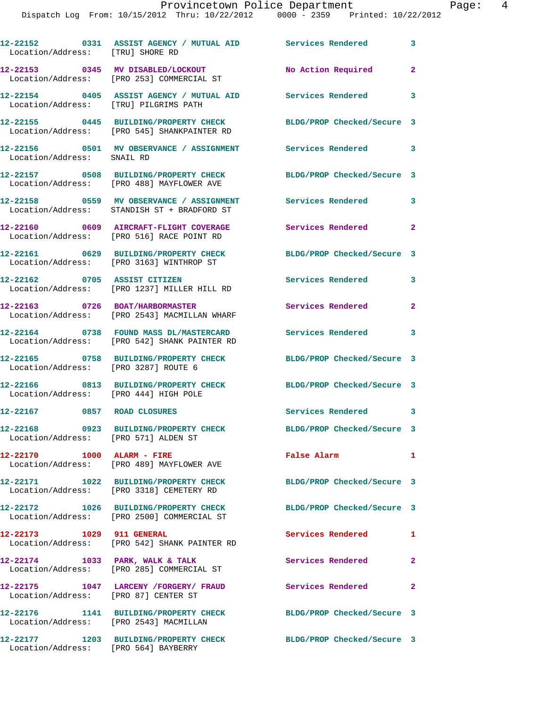## Provincetown Police Department Page: 4

Dispatch Log From: 10/15/2012 Thru: 10/22/2012 0000 - 2359 Printed: 10/22/2012

| Location/Address: [TRU] SHORE RD       | 12-22152 0331 ASSIST AGENCY / MUTUAL AID Services Rendered 3                                               |                            |                |
|----------------------------------------|------------------------------------------------------------------------------------------------------------|----------------------------|----------------|
|                                        | 12-22153 0345 MV DISABLED/LOCKOUT<br>Location/Address: [PRO 253] COMMERCIAL ST                             | No Action Required         | $\overline{2}$ |
| Location/Address: [TRU] PILGRIMS PATH  | 12-22154 0405 ASSIST AGENCY / MUTUAL AID Services Rendered                                                 |                            | 3              |
|                                        | 12-22155     0445   BUILDING/PROPERTY CHECK<br>Location/Address:   [PRO 545] SHANKPAINTER RD               | BLDG/PROP Checked/Secure 3 |                |
| Location/Address: SNAIL RD             | 12-22156 0501 MV OBSERVANCE / ASSIGNMENT Services Rendered 3                                               |                            |                |
|                                        | 12-22157 0508 BUILDING/PROPERTY CHECK<br>Location/Address: [PRO 488] MAYFLOWER AVE                         | BLDG/PROP Checked/Secure 3 |                |
|                                        | 12-22158 0559 MV OBSERVANCE / ASSIGNMENT<br>Location/Address: STANDISH ST + BRADFORD ST                    | <b>Services Rendered</b>   | 3              |
|                                        | 12-22160 0609 AIRCRAFT-FLIGHT COVERAGE<br>Location/Address: [PRO 516] RACE POINT RD                        | <b>Services Rendered</b>   | $\overline{a}$ |
|                                        | 12-22161 0629 BUILDING/PROPERTY CHECK<br>Location/Address: [PRO 3163] WINTHROP ST                          | BLDG/PROP Checked/Secure 3 |                |
| 12-22162 0705 ASSIST CITIZEN           | Location/Address: [PRO 1237] MILLER HILL RD                                                                | Services Rendered          | 3              |
|                                        | 12-22163 0726 BOAT/HARBORMASTER<br>Location/Address: [PRO 2543] MACMILLAN WHARF                            | Services Rendered          | $\mathbf{2}$   |
|                                        | 12-22164 0738 FOUND MASS DL/MASTERCARD Services Rendered 3<br>Location/Address: [PRO 542] SHANK PAINTER RD |                            |                |
| Location/Address: [PRO 3287] ROUTE 6   | 12-22165 0758 BUILDING/PROPERTY CHECK                                                                      | BLDG/PROP Checked/Secure 3 |                |
| Location/Address: [PRO 444] HIGH POLE  | 12-22166 0813 BUILDING/PROPERTY CHECK BLDG/PROP Checked/Secure 3                                           |                            |                |
| 12-22167 0857 ROAD CLOSURES            |                                                                                                            | Services Rendered 3        |                |
| Location/Address: [PRO 571] ALDEN ST   | 12-22168 0923 BUILDING/PROPERTY CHECK                                                                      | BLDG/PROP Checked/Secure 3 |                |
| 12-22170 1000 ALARM - FIRE             | Location/Address: [PRO 489] MAYFLOWER AVE                                                                  | False Alarm                | $\mathbf{1}$   |
|                                        | 12-22171 1022 BUILDING/PROPERTY CHECK<br>Location/Address: [PRO 3318] CEMETERY RD                          | BLDG/PROP Checked/Secure 3 |                |
|                                        | 12-22172 1026 BUILDING/PROPERTY CHECK<br>Location/Address: [PRO 2500] COMMERCIAL ST                        | BLDG/PROP Checked/Secure 3 |                |
| 12-22173 1029 911 GENERAL              | Location/Address: [PRO 542] SHANK PAINTER RD                                                               | Services Rendered          | 1              |
| 12-22174 1033 PARK, WALK & TALK        | Location/Address: [PRO 285] COMMERCIAL ST                                                                  | Services Rendered          | $\mathbf{2}$   |
| Location/Address: [PRO 87] CENTER ST   | 12-22175    1047 LARCENY /FORGERY/ FRAUD                                                                   | <b>Services Rendered</b>   | $\mathbf{2}$   |
| Location/Address: [PRO 2543] MACMILLAN | 12-22176 1141 BUILDING/PROPERTY CHECK                                                                      | BLDG/PROP Checked/Secure 3 |                |
| 12-22177                               | 1203 BUILDING/PROPERTY CHECK                                                                               | BLDG/PROP Checked/Secure 3 |                |

Location/Address: [PRO 564] BAYBERRY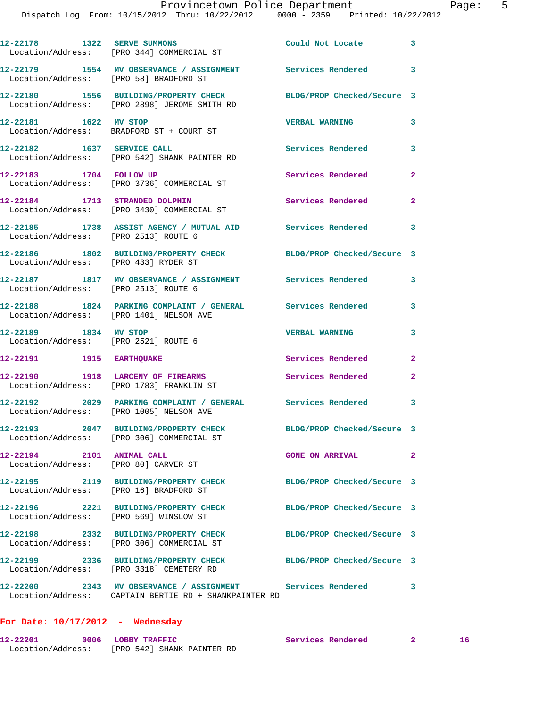|                                                                   | 12-22178 1322 SERVE SUMMONS<br>Location/Address: [PRO 344] COMMERCIAL ST                                         | Could Not Locate           | 3            |
|-------------------------------------------------------------------|------------------------------------------------------------------------------------------------------------------|----------------------------|--------------|
| Location/Address: [PRO 58] BRADFORD ST                            | 12-22179 1554 MV OBSERVANCE / ASSIGNMENT Services Rendered                                                       |                            | 3            |
|                                                                   | 12-22180 1556 BUILDING/PROPERTY CHECK BLDG/PROP Checked/Secure 3<br>Location/Address: [PRO 2898] JEROME SMITH RD |                            |              |
| 12-22181 1622 MV STOP                                             | Location/Address: BRADFORD ST + COURT ST                                                                         | <b>VERBAL WARNING</b>      | 3            |
|                                                                   | 12-22182 1637 SERVICE CALL<br>Location/Address: [PRO 542] SHANK PAINTER RD                                       | Services Rendered          | 3            |
| 12-22183 1704 FOLLOW UP                                           | Location/Address: [PRO 3736] COMMERCIAL ST                                                                       | Services Rendered          | 2            |
| 12-22184 1713 STRANDED DOLPHIN                                    | Location/Address: [PRO 3430] COMMERCIAL ST                                                                       | Services Rendered          | 2            |
| Location/Address: [PRO 2513] ROUTE 6                              | 12-22185 1738 ASSIST AGENCY / MUTUAL AID Services Rendered                                                       |                            | 3            |
| Location/Address: [PRO 433] RYDER ST                              | 12-22186 1802 BUILDING/PROPERTY CHECK                                                                            | BLDG/PROP Checked/Secure 3 |              |
| Location/Address: [PRO 2513] ROUTE 6                              | 12-22187 1817 MV OBSERVANCE / ASSIGNMENT Services Rendered                                                       |                            | 3            |
|                                                                   | 12-22188 1824 PARKING COMPLAINT / GENERAL Services Rendered<br>Location/Address: [PRO 1401] NELSON AVE           |                            | 3            |
| 12-22189 1834 MV STOP<br>Location/Address: [PRO 2521] ROUTE 6     |                                                                                                                  | <b>VERBAL WARNING</b>      | 3            |
| 12-22191 1915 EARTHQUAKE                                          |                                                                                                                  | Services Rendered          | 2            |
|                                                                   | 12-22190 1918 LARCENY OF FIREARMS<br>Location/Address: [PRO 1783] FRANKLIN ST                                    | Services Rendered          | 2            |
|                                                                   | 12-22192 2029 PARKING COMPLAINT / GENERAL Services Rendered<br>Location/Address: [PRO 1005] NELSON AVE           |                            | 3            |
| 12-22193                                                          | 2047 BUILDING/PROPERTY CHECK<br>Location/Address: [PRO 306] COMMERCIAL ST                                        | BLDG/PROP Checked/Secure 3 |              |
| 12-22194 2101 ANIMAL CALL<br>Location/Address: [PRO 80] CARVER ST |                                                                                                                  | <b>GONE ON ARRIVAL</b>     | $\mathbf{2}$ |
| Location/Address: [PRO 16] BRADFORD ST                            | 12-22195 2119 BUILDING/PROPERTY CHECK                                                                            | BLDG/PROP Checked/Secure 3 |              |
| Location/Address: [PRO 569] WINSLOW ST                            |                                                                                                                  | BLDG/PROP Checked/Secure 3 |              |
|                                                                   | 12-22198 2332 BUILDING/PROPERTY CHECK<br>Location/Address: [PRO 306] COMMERCIAL ST                               | BLDG/PROP Checked/Secure 3 |              |
|                                                                   | 12-22199 2336 BUILDING/PROPERTY CHECK<br>Location/Address: [PRO 3318] CEMETERY RD                                | BLDG/PROP Checked/Secure 3 |              |
| <b>12-22200</b>                                                   | Location/Address: CAPTAIN BERTIE RD + SHANKPAINTER RD                                                            |                            | 3            |

## **For Date: 10/17/2012 - Wednesday**

| 12-22201          | 0006 LOBBY TRAFFIC        | Services Rendered |  |
|-------------------|---------------------------|-------------------|--|
| Location/Address: | FRO 5421 SHANK PAINTER RD |                   |  |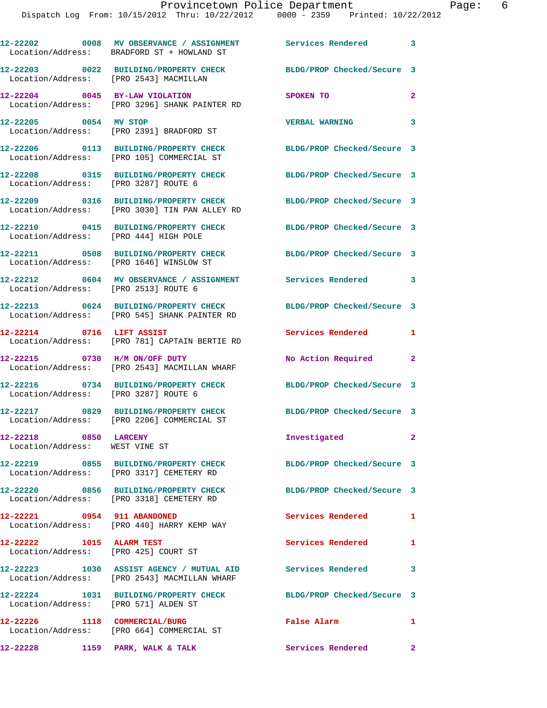|                                                                  | 12-22202 0008 MV OBSERVANCE / ASSIGNMENT Services Rendered 3<br>Location/Address: BRADFORD ST + HOWLAND ST |                            |                            |
|------------------------------------------------------------------|------------------------------------------------------------------------------------------------------------|----------------------------|----------------------------|
| Location/Address: [PRO 2543] MACMILLAN                           | 12-22203 0022 BUILDING/PROPERTY CHECK                                                                      | BLDG/PROP Checked/Secure 3 |                            |
| 12-22204 0045 BY-LAW VIOLATION                                   | Location/Address: [PRO 3296] SHANK PAINTER RD                                                              | SPOKEN TO                  | $\mathbf{2}$               |
| 12-22205 0054 MV STOP                                            | Location/Address: [PRO 2391] BRADFORD ST                                                                   | <b>VERBAL WARNING</b>      | 3                          |
|                                                                  | 12-22206 0113 BUILDING/PROPERTY CHECK<br>Location/Address: [PRO 105] COMMERCIAL ST                         | BLDG/PROP Checked/Secure 3 |                            |
|                                                                  | 12-22208 0315 BUILDING/PROPERTY CHECK<br>Location/Address: [PRO 3287] ROUTE 6                              | BLDG/PROP Checked/Secure 3 |                            |
|                                                                  | 12-22209 0316 BUILDING/PROPERTY CHECK<br>Location/Address: [PRO 3030] TIN PAN ALLEY RD                     | BLDG/PROP Checked/Secure 3 |                            |
| Location/Address: [PRO 444] HIGH POLE                            | 12-22210 0415 BUILDING/PROPERTY CHECK                                                                      | BLDG/PROP Checked/Secure 3 |                            |
|                                                                  | 12-22211 0508 BUILDING/PROPERTY CHECK<br>Location/Address: [PRO 1646] WINSLOW ST                           | BLDG/PROP Checked/Secure 3 |                            |
| Location/Address: [PRO 2513] ROUTE 6                             | 12-22212 0604 MV OBSERVANCE / ASSIGNMENT Services Rendered                                                 |                            | $\overline{\phantom{a}}$ 3 |
|                                                                  | 12-22213 0624 BUILDING/PROPERTY CHECK<br>Location/Address: [PRO 545] SHANK PAINTER RD                      | BLDG/PROP Checked/Secure 3 |                            |
| 12-22214 0716 LIFT ASSIST                                        | Location/Address: [PRO 781] CAPTAIN BERTIE RD                                                              | Services Rendered 1        |                            |
|                                                                  | 12-22215 0730 H/M ON/OFF DUTY<br>Location/Address: [PRO 2543] MACMILLAN WHARF                              | No Action Required         | $\mathbf{2}$               |
| Location/Address: [PRO 3287] ROUTE 6                             | 12-22216 0734 BUILDING/PROPERTY CHECK BLDG/PROP Checked/Secure 3                                           |                            |                            |
|                                                                  | 12-22217 0829 BUILDING/PROPERTY CHECK<br>Location/Address: [PRO 2206] COMMERCIAL ST                        | BLDG/PROP Checked/Secure 3 |                            |
| 12-22218 0850 LARCENY<br>Location/Address: WEST VINE ST          |                                                                                                            | Investigated               | $\mathbf{2}$               |
|                                                                  | 12-22219 0855 BUILDING/PROPERTY CHECK<br>Location/Address: [PRO 3317] CEMETERY RD                          | BLDG/PROP Checked/Secure 3 |                            |
|                                                                  | 12-22220 0856 BUILDING/PROPERTY CHECK<br>Location/Address: [PRO 3318] CEMETERY RD                          | BLDG/PROP Checked/Secure 3 |                            |
| 12-22221 0954 911 ABANDONED                                      | Location/Address: [PRO 440] HARRY KEMP WAY                                                                 | Services Rendered          | $\mathbf{1}$               |
| 12-22222 1015 ALARM TEST<br>Location/Address: [PRO 425] COURT ST |                                                                                                            | Services Rendered          | $\mathbf{1}$               |
|                                                                  | 12-22223 1030 ASSIST AGENCY / MUTUAL AID<br>Location/Address: [PRO 2543] MACMILLAN WHARF                   | <b>Services Rendered</b>   | 3                          |
| Location/Address: [PRO 571] ALDEN ST                             | 12-22224 1031 BUILDING/PROPERTY CHECK                                                                      | BLDG/PROP Checked/Secure 3 |                            |
|                                                                  | 12-22226 1118 COMMERCIAL/BURG<br>Location/Address: [PRO 664] COMMERCIAL ST                                 | False Alarm                | 1                          |

**12-22228 1159 PARK, WALK & TALK Services Rendered 2**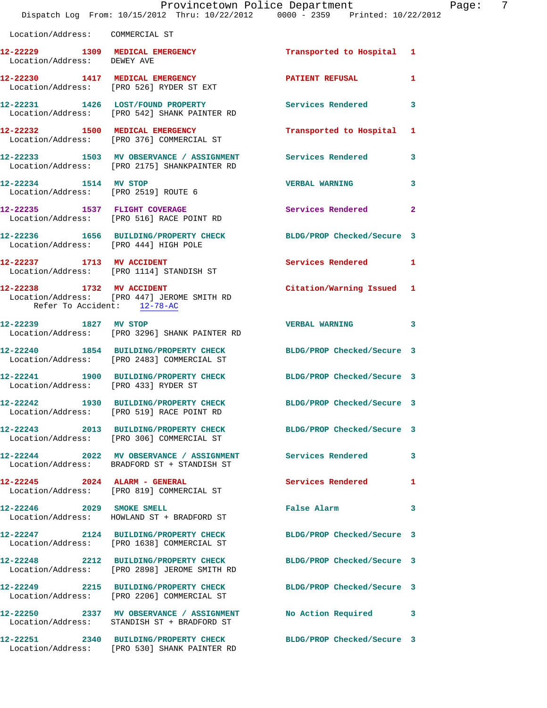|                                       | Provincetown Police Department<br>Dispatch Log From: 10/15/2012 Thru: 10/22/2012 0000 - 2359 Printed: 10/22/2012 |                            |              |
|---------------------------------------|------------------------------------------------------------------------------------------------------------------|----------------------------|--------------|
| Location/Address: COMMERCIAL ST       |                                                                                                                  |                            |              |
| Location/Address: DEWEY AVE           | 12-22229 1309 MEDICAL EMERGENCY                                                                                  | Transported to Hospital 1  |              |
|                                       | 12-22230 1417 MEDICAL EMERGENCY<br>Location/Address: [PRO 526] RYDER ST EXT                                      | PATIENT REFUSAL            | 1            |
|                                       | 12-22231 1426 LOST/FOUND PROPERTY<br>Location/Address: [PRO 542] SHANK PAINTER RD                                | <b>Services Rendered</b>   | 3            |
|                                       | 12-22232 1500 MEDICAL EMERGENCY<br>Location/Address: [PRO 376] COMMERCIAL ST                                     | Transported to Hospital    | 1            |
|                                       | 12-22233 1503 MV OBSERVANCE / ASSIGNMENT Services Rendered<br>Location/Address: [PRO 2175] SHANKPAINTER RD       |                            | 3            |
| 12-22234 1514 MV STOP                 | Location/Address: [PRO 2519] ROUTE 6                                                                             | <b>VERBAL WARNING</b>      | 3            |
|                                       | 12-22235 1537 FLIGHT COVERAGE<br>Location/Address: [PRO 516] RACE POINT RD                                       | <b>Services Rendered</b>   | $\mathbf{2}$ |
| Location/Address: [PRO 444] HIGH POLE | 12-22236 1656 BUILDING/PROPERTY CHECK BLDG/PROP Checked/Secure 3                                                 |                            |              |
|                                       | 12-22237 1713 MV ACCIDENT<br>Location/Address: [PRO 1114] STANDISH ST                                            | <b>Services Rendered</b>   | 1            |
| Refer To Accident: 12-78-AC           | 12-22238 1732 MV ACCIDENT<br>Location/Address: [PRO 447] JEROME SMITH RD                                         | Citation/Warning Issued    | 1            |
| 12-22239 1827 MV STOP                 | Location/Address: [PRO 3296] SHANK PAINTER RD                                                                    | <b>VERBAL WARNING</b>      | 3            |
|                                       | 12-22240 1854 BUILDING/PROPERTY CHECK<br>Location/Address: [PRO 2483] COMMERCIAL ST                              | BLDG/PROP Checked/Secure 3 |              |
| Location/Address: [PRO 433] RYDER ST  | 12-22241 1900 BUILDING/PROPERTY CHECK                                                                            | BLDG/PROP Checked/Secure 3 |              |
|                                       | 12-22242 1930 BUILDING/PROPERTY CHECK<br>Location/Address: [PRO 519] RACE POINT RD                               | BLDG/PROP Checked/Secure 3 |              |
|                                       | 12-22243 2013 BUILDING/PROPERTY CHECK<br>Location/Address: [PRO 306] COMMERCIAL ST                               | BLDG/PROP Checked/Secure 3 |              |
|                                       | 12-22244 2022 MV OBSERVANCE / ASSIGNMENT<br>Location/Address: BRADFORD ST + STANDISH ST                          | <b>Services Rendered</b>   | 3            |
| 12-22245 2024 ALARM - GENERAL         | Location/Address: [PRO 819] COMMERCIAL ST                                                                        | <b>Services Rendered</b>   | 1            |
|                                       | 12-22246 2029 SMOKE SMELL<br>Location/Address: HOWLAND ST + BRADFORD ST                                          | <b>False Alarm</b>         | 3            |
|                                       | 12-22247 2124 BUILDING/PROPERTY CHECK BLDG/PROP Checked/Secure 3<br>Location/Address: [PRO 1638] COMMERCIAL ST   |                            |              |
|                                       | 12-22248 2212 BUILDING/PROPERTY CHECK<br>Location/Address: [PRO 2898] JEROME SMITH RD                            | BLDG/PROP Checked/Secure 3 |              |
|                                       | 12-22249 2215 BUILDING/PROPERTY CHECK<br>Location/Address: [PRO 2206] COMMERCIAL ST                              | BLDG/PROP Checked/Secure 3 |              |
|                                       | 12-22250 2337 MV OBSERVANCE / ASSIGNMENT<br>Location/Address: STANDISH ST + BRADFORD ST                          | <b>No Action Required</b>  | 3            |
|                                       | 12-22251 2340 BUILDING/PROPERTY CHECK                                                                            | BLDG/PROP Checked/Secure 3 |              |

Location/Address: [PRO 530] SHANK PAINTER RD

Page: 7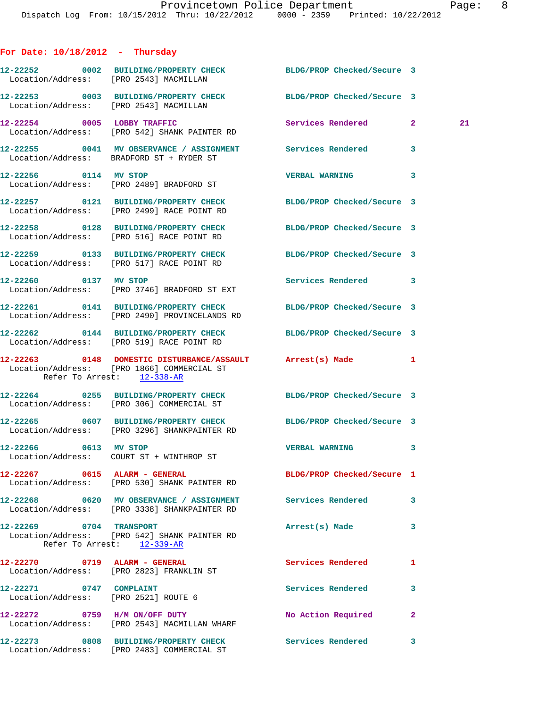| For Date: $10/18/2012$ - Thursday                               |                                                                                                                |                            |                    |
|-----------------------------------------------------------------|----------------------------------------------------------------------------------------------------------------|----------------------------|--------------------|
| Location/Address: [PRO 2543] MACMILLAN                          | 12-22252 0002 BUILDING/PROPERTY CHECK BLDG/PROP Checked/Secure 3                                               |                            |                    |
| Location/Address: [PRO 2543] MACMILLAN                          | 12-22253 0003 BUILDING/PROPERTY CHECK BLDG/PROP Checked/Secure 3                                               |                            |                    |
|                                                                 | 12-22254 0005 LOBBY TRAFFIC<br>Location/Address: [PRO 542] SHANK PAINTER RD                                    | Services Rendered          | $\mathbf{2}$<br>21 |
|                                                                 | 12-22255 0041 MV OBSERVANCE / ASSIGNMENT Services Rendered 3<br>Location/Address: BRADFORD ST + RYDER ST       |                            |                    |
| 12-22256 0114 MV STOP                                           | Location/Address: [PRO 2489] BRADFORD ST                                                                       | <b>VERBAL WARNING</b>      | 3                  |
|                                                                 | 12-22257 0121 BUILDING/PROPERTY CHECK BLDG/PROP Checked/Secure 3<br>Location/Address: [PRO 2499] RACE POINT RD |                            |                    |
|                                                                 | 12-22258 0128 BUILDING/PROPERTY CHECK<br>Location/Address: [PRO 516] RACE POINT RD                             | BLDG/PROP Checked/Secure 3 |                    |
|                                                                 | 12-22259 0133 BUILDING/PROPERTY CHECK<br>Location/Address: [PRO 517] RACE POINT RD                             | BLDG/PROP Checked/Secure 3 |                    |
| 12-22260 0137 MV STOP                                           | Location/Address: [PRO 3746] BRADFORD ST EXT                                                                   | Services Rendered 3        |                    |
|                                                                 | 12-22261 0141 BUILDING/PROPERTY CHECK<br>Location/Address: [PRO 2490] PROVINCELANDS RD                         | BLDG/PROP Checked/Secure 3 |                    |
|                                                                 | 12-22262 0144 BUILDING/PROPERTY CHECK BLDG/PROP Checked/Secure 3<br>Location/Address: [PRO 519] RACE POINT RD  |                            |                    |
| Refer To Arrest: 12-338-AR                                      | 12-22263 0148 DOMESTIC DISTURBANCE/ASSAULT Arrest(s) Made<br>Location/Address: [PRO 1866] COMMERCIAL ST        |                            | 1                  |
|                                                                 | 12-22264 0255 BUILDING/PROPERTY CHECK BLDG/PROP Checked/Secure 3<br>Location/Address: [PRO 306] COMMERCIAL ST  |                            |                    |
|                                                                 | 12-22265 0607 BUILDING/PROPERTY CHECK<br>Location/Address: [PRO 3296] SHANKPAINTER RD                          | BLDG/PROP Checked/Secure 3 |                    |
| 12-22266 0613 MV STOP                                           | Location/Address: COURT ST + WINTHROP ST                                                                       | <b>VERBAL WARNING</b>      |                    |
| 12-22267 0615 ALARM - GENERAL                                   | Location/Address: [PRO 530] SHANK PAINTER RD                                                                   | BLDG/PROP Checked/Secure 1 |                    |
|                                                                 | 12-22268 0620 MV OBSERVANCE / ASSIGNMENT Services Rendered<br>Location/Address: [PRO 3338] SHANKPAINTER RD     |                            | 3                  |
| 12-22269 0704 TRANSPORT                                         | Location/Address: [PRO 542] SHANK PAINTER RD<br>Refer To Arrest: 12-339-AR                                     | Arrest(s) Made             | 3                  |
| 12-22270 0719 ALARM - GENERAL                                   | Location/Address: [PRO 2823] FRANKLIN ST                                                                       | Services Rendered          | 1                  |
| 12-22271 0747 COMPLAINT<br>Location/Address: [PRO 2521] ROUTE 6 |                                                                                                                | Services Rendered          | 3                  |
|                                                                 | 12-22272 0759 H/M ON/OFF DUTY<br>Location/Address: [PRO 2543] MACMILLAN WHARF                                  | No Action Required         | 2                  |
|                                                                 | 12-22273 0808 BUILDING/PROPERTY CHECK<br>Location/Address: [PRO 2483] COMMERCIAL ST                            | Services Rendered          | 3                  |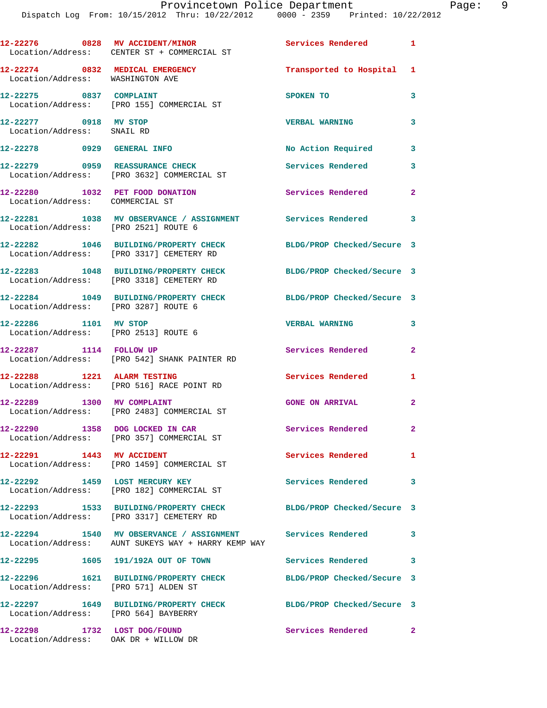|                                                                     | 12-22276 0828 MV ACCIDENT/MINOR<br>Location/Address: CENTER ST + COMMERCIAL ST                                   | Services Rendered 1        |                |
|---------------------------------------------------------------------|------------------------------------------------------------------------------------------------------------------|----------------------------|----------------|
| 12-22274 0832 MEDICAL EMERGENCY<br>Location/Address: WASHINGTON AVE |                                                                                                                  | Transported to Hospital 1  |                |
| 12-22275 0837 COMPLAINT                                             | Location/Address: [PRO 155] COMMERCIAL ST                                                                        | SPOKEN TO                  | 3              |
| 12-22277 0918 MV STOP<br>Location/Address: SNAIL RD                 |                                                                                                                  | <b>VERBAL WARNING</b>      | 3              |
| 12-22278 0929 GENERAL INFO                                          |                                                                                                                  | No Action Required         | 3              |
|                                                                     | 12-22279 0959 REASSURANCE CHECK<br>Location/Address: [PRO 3632] COMMERCIAL ST                                    | Services Rendered          | 3              |
| 12-22280 1032 PET FOOD DONATION<br>Location/Address: COMMERCIAL ST  |                                                                                                                  | Services Rendered          | $\mathbf{2}$   |
| Location/Address: [PRO 2521] ROUTE 6                                | 12-22281 1038 MV OBSERVANCE / ASSIGNMENT Services Rendered 3                                                     |                            |                |
|                                                                     | 12-22282 1046 BUILDING/PROPERTY CHECK<br>Location/Address: [PRO 3317] CEMETERY RD                                | BLDG/PROP Checked/Secure 3 |                |
|                                                                     | 12-22283 1048 BUILDING/PROPERTY CHECK<br>Location/Address: [PRO 3318] CEMETERY RD                                | BLDG/PROP Checked/Secure 3 |                |
| Location/Address: [PRO 3287] ROUTE 6                                | 12-22284 1049 BUILDING/PROPERTY CHECK                                                                            | BLDG/PROP Checked/Secure 3 |                |
| 12-22286 1101 MV STOP<br>Location/Address: [PRO 2513] ROUTE 6       |                                                                                                                  | <b>VERBAL WARNING</b>      | 3              |
| 12-22287 1114 FOLLOW UP                                             | Location/Address: [PRO 542] SHANK PAINTER RD                                                                     | Services Rendered          | $\mathbf{2}$   |
| 12-22288 1221 ALARM TESTING                                         | Location/Address: [PRO 516] RACE POINT RD                                                                        | Services Rendered          | 1              |
|                                                                     | 12-22289 1300 MV COMPLAINT<br>Location/Address: [PRO 2483] COMMERCIAL ST                                         | <b>GONE ON ARRIVAL</b>     | $\mathbf{2}$   |
| 12-22290 1358 DOG LOCKED IN CAR                                     | Location/Address: [PRO 357] COMMERCIAL ST                                                                        | Services Rendered          |                |
| 12-22291 1443 MV ACCIDENT                                           | Location/Address: [PRO 1459] COMMERCIAL ST                                                                       | <b>Services Rendered</b>   | $\blacksquare$ |
| 12-22292 1459 LOST MERCURY KEY                                      | Location/Address: [PRO 182] COMMERCIAL ST                                                                        | Services Rendered          | 3              |
|                                                                     | 12-22293 1533 BUILDING/PROPERTY CHECK<br>Location/Address: [PRO 3317] CEMETERY RD                                | BLDG/PROP Checked/Secure 3 |                |
|                                                                     | 12-22294 1540 MV OBSERVANCE / ASSIGNMENT Services Rendered<br>Location/Address: AUNT SUKEYS WAY + HARRY KEMP WAY |                            | 3              |
|                                                                     | 12-22295 1605 191/192A OUT OF TOWN                                                                               | <b>Services Rendered</b>   | 3              |
| Location/Address: [PRO 571] ALDEN ST                                | 12-22296 1621 BUILDING/PROPERTY CHECK                                                                            | BLDG/PROP Checked/Secure 3 |                |
| Location/Address: [PRO 564] BAYBERRY                                | 12-22297 1649 BUILDING/PROPERTY CHECK                                                                            | BLDG/PROP Checked/Secure 3 |                |
| 12-22298<br>Location/Address: OAK DR + WILLOW DR                    | 1732 LOST DOG/FOUND                                                                                              | Services Rendered 2        |                |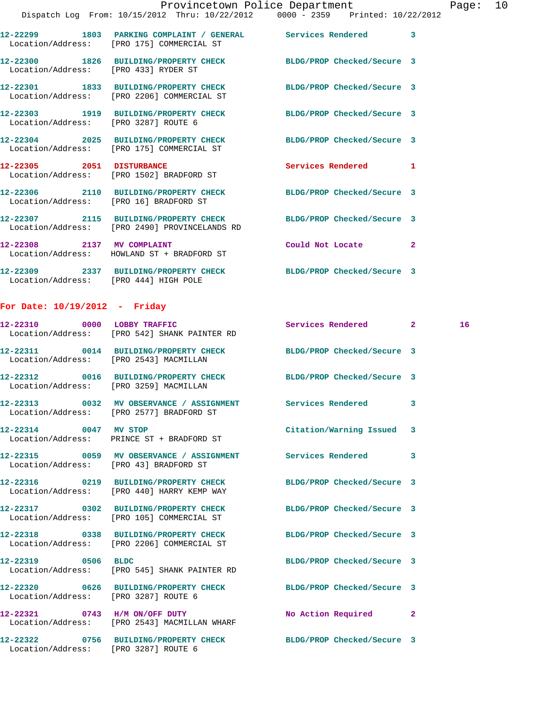|                                        |                                                                                                                   | Provincetown Police Department | Page: $10$ |
|----------------------------------------|-------------------------------------------------------------------------------------------------------------------|--------------------------------|------------|
|                                        | Dispatch Log From: 10/15/2012 Thru: 10/22/2012 0000 - 2359 Printed: 10/22/2012                                    |                                |            |
|                                        | 12-22299 1803 PARKING COMPLAINT / GENERAL Services Rendered 3<br>Location/Address: [PRO 175] COMMERCIAL ST        |                                |            |
| Location/Address: [PRO 433] RYDER ST   | 12-22300 1826 BUILDING/PROPERTY CHECK BLDG/PROP Checked/Secure 3                                                  |                                |            |
|                                        | 12-22301 1833 BUILDING/PROPERTY CHECK BLDG/PROP Checked/Secure 3<br>Location/Address: [PRO 2206] COMMERCIAL ST    |                                |            |
| Location/Address: [PRO 3287] ROUTE 6   | 12-22303 1919 BUILDING/PROPERTY CHECK BLDG/PROP Checked/Secure 3                                                  |                                |            |
|                                        | 12-22304 2025 BUILDING/PROPERTY CHECK BLDG/PROP Checked/Secure 3<br>Location/Address: [PRO 175] COMMERCIAL ST     |                                |            |
|                                        | 12-22305 2051 DISTURBANCE<br>Location/Address: [PRO 1502] BRADFORD ST                                             | Services Rendered 1            |            |
| Location/Address: [PRO 16] BRADFORD ST | 12-22306 2110 BUILDING/PROPERTY CHECK BLDG/PROP Checked/Secure 3                                                  |                                |            |
|                                        | 12-22307 2115 BUILDING/PROPERTY CHECK BLDG/PROP Checked/Secure 3<br>Location/Address: [PRO 2490] PROVINCELANDS RD |                                |            |
| 12-22308 2137 MV COMPLAINT             | Location/Address: HOWLAND ST + BRADFORD ST                                                                        | Could Not Locate 2             |            |
|                                        |                                                                                                                   |                                |            |

**12-22309 2337 BUILDING/PROPERTY CHECK BLDG/PROP Checked/Secure 3**  Location/Address: [PRO 444] HIGH POLE

## **For Date: 10/19/2012 - Friday**

|                                        | 12-22310 0000 LOBBY TRAFFIC<br>Location/Address: [PRO 542] SHANK PAINTER RD                                    | Services Rendered 2        |                         | 16 <sup>1</sup> |
|----------------------------------------|----------------------------------------------------------------------------------------------------------------|----------------------------|-------------------------|-----------------|
| Location/Address: [PRO 2543] MACMILLAN | 12-22311 0014 BUILDING/PROPERTY CHECK BLDG/PROP Checked/Secure 3                                               |                            |                         |                 |
| Location/Address: [PRO 3259] MACMILLAN | 12-22312 0016 BUILDING/PROPERTY CHECK BLDG/PROP Checked/Secure 3                                               |                            |                         |                 |
|                                        | 12-22313 0032 MV OBSERVANCE / ASSIGNMENT Services Rendered<br>Location/Address: [PRO 2577] BRADFORD ST         |                            | $\overline{\mathbf{3}}$ |                 |
|                                        | 12-22314 0047 MV STOP<br>Location/Address: PRINCE ST + BRADFORD ST                                             | Citation/Warning Issued 3  |                         |                 |
|                                        | 12-22315 0059 MV OBSERVANCE / ASSIGNMENT Services Rendered<br>Location/Address: [PRO 43] BRADFORD ST           |                            | $\mathbf{3}$            |                 |
|                                        | 12-22316 0219 BUILDING/PROPERTY CHECK BLDG/PROP Checked/Secure 3<br>Location/Address: [PRO 440] HARRY KEMP WAY |                            |                         |                 |
|                                        | 12-22317 0302 BUILDING/PROPERTY CHECK BLDG/PROP Checked/Secure 3<br>Location/Address: [PRO 105] COMMERCIAL ST  |                            |                         |                 |
|                                        | 12-22318 0338 BUILDING/PROPERTY CHECK BLDG/PROP Checked/Secure 3<br>Location/Address: [PRO 2206] COMMERCIAL ST |                            |                         |                 |
|                                        | 12-22319 0506 BLDC<br>Location/Address: [PRO 545] SHANK PAINTER RD                                             | BLDG/PROP Checked/Secure 3 |                         |                 |
| Location/Address: [PRO 3287] ROUTE 6   | 12-22320 0626 BUILDING/PROPERTY CHECK BLDG/PROP Checked/Secure 3                                               |                            |                         |                 |
|                                        | 12-22321 0743 H/M ON/OFF DUTY<br>Location/Address: [PRO 2543] MACMILLAN WHARF                                  | No Action Required 2       |                         |                 |
| Location/Address: [PRO 3287] ROUTE 6   | 12-22322 0756 BUILDING/PROPERTY CHECK BLDG/PROP Checked/Secure 3                                               |                            |                         |                 |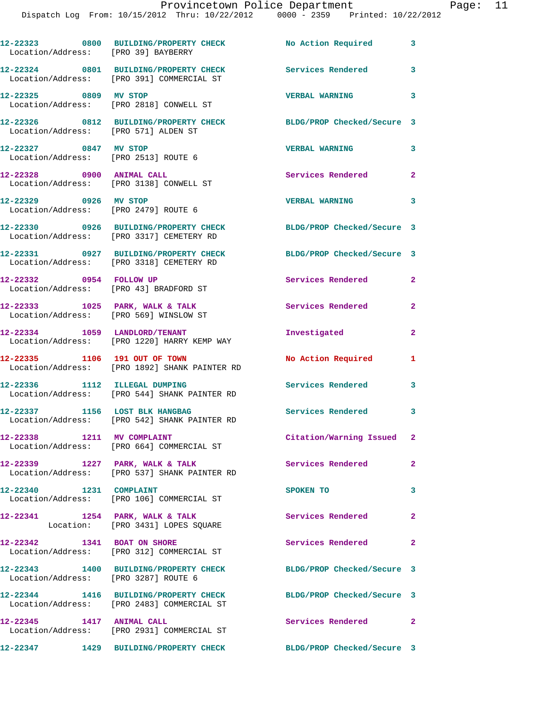| Location/Address: [PRO 39] BAYBERRY                                           | 12-22323 0800 BUILDING/PROPERTY CHECK No Action Required                            |                            | 3              |
|-------------------------------------------------------------------------------|-------------------------------------------------------------------------------------|----------------------------|----------------|
|                                                                               | 12-22324 0801 BUILDING/PROPERTY CHECK<br>Location/Address: [PRO 391] COMMERCIAL ST  | <b>Services Rendered</b>   | 3              |
| 12-22325 0809 MV STOP                                                         | Location/Address: [PRO 2818] CONWELL ST                                             | <b>VERBAL WARNING</b>      | 3              |
| Location/Address: [PRO 571] ALDEN ST                                          | 12-22326 0812 BUILDING/PROPERTY CHECK                                               | BLDG/PROP Checked/Secure 3 |                |
| 12-22327 0847 MV STOP                                                         | Location/Address: [PRO 2513] ROUTE 6                                                | <b>VERBAL WARNING</b>      | 3              |
|                                                                               | 12-22328 0900 ANIMAL CALL<br>Location/Address: [PRO 3138] CONWELL ST                | Services Rendered          | 2              |
| 12-22329 0926 MV STOP                                                         | Location/Address: [PRO 2479] ROUTE 6                                                | <b>VERBAL WARNING</b>      | 3              |
|                                                                               | 12-22330 0926 BUILDING/PROPERTY CHECK<br>Location/Address: [PRO 3317] CEMETERY RD   | BLDG/PROP Checked/Secure 3 |                |
|                                                                               | 12-22331 0927 BUILDING/PROPERTY CHECK<br>Location/Address: [PRO 3318] CEMETERY RD   | BLDG/PROP Checked/Secure 3 |                |
|                                                                               | 12-22332 0954 FOLLOW UP<br>Location/Address: [PRO 43] BRADFORD ST                   | Services Rendered          | $\mathbf{2}$   |
| $12-22333$ $1025$ PARK, WALK & TALK<br>Location/Address: [PRO 569] WINSLOW ST |                                                                                     | Services Rendered          | 2              |
|                                                                               | 12-22334 1059 LANDLORD/TENANT<br>Location/Address: [PRO 1220] HARRY KEMP WAY        | Investigated               | $\overline{2}$ |
|                                                                               | 12-22335 1106 191 OUT OF TOWN<br>Location/Address: [PRO 1892] SHANK PAINTER RD      | No Action Required         | 1              |
|                                                                               | 12-22336 1112 ILLEGAL DUMPING<br>Location/Address: [PRO 544] SHANK PAINTER RD       | <b>Services Rendered</b>   | 3              |
| 12-22337 1156 LOST BLK HANGBAG                                                | Location/Address: [PRO 542] SHANK PAINTER RD                                        | Services Rendered          | 3              |
| 12-22338                                                                      | 1211 MV COMPLAINT<br>Location/Address: [PRO 664] COMMERCIAL ST                      | Citation/Warning Issued    | 2              |
| 12-22339 1227 PARK, WALK & TALK                                               | Location/Address: [PRO 537] SHANK PAINTER RD                                        | Services Rendered          | $\overline{2}$ |
| 12-22340 1231 COMPLAINT                                                       | Location/Address: [PRO 106] COMMERCIAL ST                                           | SPOKEN TO                  | 3              |
| $12-22341$ 1254 PARK, WALK & TALK                                             | Location: [PRO 3431] LOPES SQUARE                                                   | Services Rendered          | 2              |
| 12-22342 1341 BOAT ON SHORE                                                   | Location/Address: [PRO 312] COMMERCIAL ST                                           | Services Rendered          | $\overline{2}$ |
| Location/Address: [PRO 3287] ROUTE 6                                          | 12-22343 1400 BUILDING/PROPERTY CHECK                                               | BLDG/PROP Checked/Secure 3 |                |
|                                                                               | 12-22344 1416 BUILDING/PROPERTY CHECK<br>Location/Address: [PRO 2483] COMMERCIAL ST | BLDG/PROP Checked/Secure 3 |                |
| 12-22345 1417 ANIMAL CALL                                                     | Location/Address: [PRO 2931] COMMERCIAL ST                                          | <b>Services Rendered</b>   | $\overline{a}$ |
|                                                                               | 12-22347 1429 BUILDING/PROPERTY CHECK                                               | BLDG/PROP Checked/Secure 3 |                |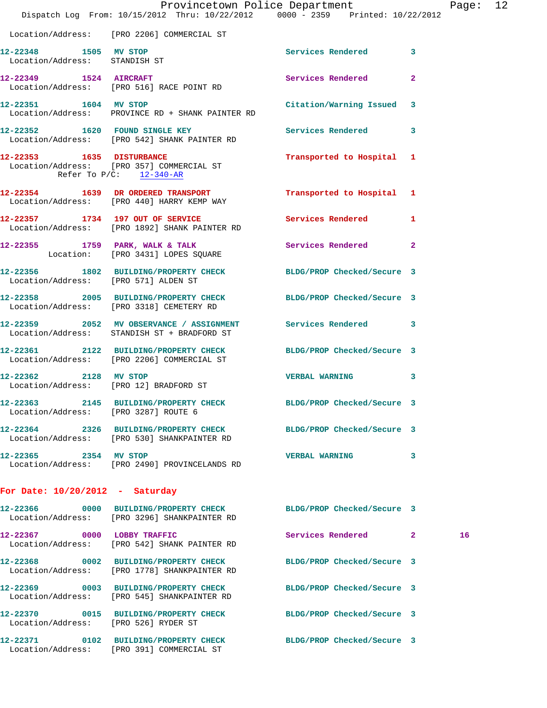|                                                        | Dispatch Log From: 10/15/2012 Thru: 10/22/2012 0000 - 2359 Printed: 10/22/2012                                   | Provincetown Police Department Page: 12 |    |  |
|--------------------------------------------------------|------------------------------------------------------------------------------------------------------------------|-----------------------------------------|----|--|
|                                                        |                                                                                                                  |                                         |    |  |
|                                                        | Location/Address: [PRO 2206] COMMERCIAL ST                                                                       |                                         |    |  |
| 12-22348 1505 MV STOP<br>Location/Address: STANDISH ST |                                                                                                                  | Services Rendered 3                     |    |  |
|                                                        | 12-22349 1524 AIRCRAFT<br>Location/Address: [PRO 516] RACE POINT RD                                              | Services Rendered<br>$\overline{2}$     |    |  |
| 12-22351 1604 MV STOP                                  | Location/Address: PROVINCE RD + SHANK PAINTER RD                                                                 | Citation/Warning Issued 3               |    |  |
|                                                        | 12-22352 1620 FOUND SINGLE KEY Services Rendered 3<br>Location/Address: [PRO 542] SHANK PAINTER RD               |                                         |    |  |
| Refer To $P/C$ : 12-340-AR                             | 12-22353 1635 DISTURBANCE<br>Location/Address: [PRO 357] COMMERCIAL ST                                           | Transported to Hospital 1               |    |  |
|                                                        | 12-22354 1639 DR ORDERED TRANSPORT Transported to Hospital 1<br>Location/Address: [PRO 440] HARRY KEMP WAY       |                                         |    |  |
|                                                        | 12-22357 1734 197 OUT OF SERVICE<br>Location/Address: [PRO 1892] SHANK PAINTER RD                                | Services Rendered 1                     |    |  |
|                                                        | 12-22355 1759 PARK, WALK & TALK Services Rendered 2<br>Location: [PRO 3431] LOPES SQUARE                         |                                         |    |  |
| Location/Address: [PRO 571] ALDEN ST                   | 12-22356 1802 BUILDING/PROPERTY CHECK BLDG/PROP Checked/Secure 3                                                 |                                         |    |  |
|                                                        | 12-22358 2005 BUILDING/PROPERTY CHECK BLDG/PROP Checked/Secure 3<br>Location/Address: [PRO 3318] CEMETERY RD     |                                         |    |  |
|                                                        | 12-22359 2052 MV OBSERVANCE / ASSIGNMENT Services Rendered 3<br>Location/Address: STANDISH ST + BRADFORD ST      |                                         |    |  |
|                                                        | 12-22361 2122 BUILDING/PROPERTY CHECK BLDG/PROP Checked/Secure 3<br>Location/Address: [PRO 2206] COMMERCIAL ST   |                                         |    |  |
|                                                        | 12-22362 2128 MV STOP<br>Location/Address: [PRO 12] BRADFORD ST                                                  | VERBAL WARNING 3                        |    |  |
| Location/Address: [PRO 3287] ROUTE 6                   | 12-22363 2145 BUILDING/PROPERTY CHECK                                                                            | BLDG/PROP Checked/Secure 3              |    |  |
|                                                        | 12-22364 2326 BUILDING/PROPERTY CHECK BLDG/PROP Checked/Secure 3<br>Location/Address: [PRO 530] SHANKPAINTER RD  |                                         |    |  |
| 12-22365 2354 MV STOP                                  | Location/Address: [PRO 2490] PROVINCELANDS RD                                                                    | <b>VERBAL WARNING</b><br>3              |    |  |
| For Date: $10/20/2012$ - Saturday                      |                                                                                                                  |                                         |    |  |
|                                                        | 12-22366 0000 BUILDING/PROPERTY CHECK BLDG/PROP Checked/Secure 3<br>Location/Address: [PRO 3296] SHANKPAINTER RD |                                         |    |  |
|                                                        | 12-22367 0000 LOBBY TRAFFIC<br>Location/Address: [PRO 542] SHANK PAINTER RD                                      | Services Rendered 2                     | 16 |  |
|                                                        | 12-22368 0002 BUILDING/PROPERTY CHECK<br>Location/Address: [PRO 1778] SHANKPAINTER RD                            | BLDG/PROP Checked/Secure 3              |    |  |
|                                                        | 12-22369 0003 BUILDING/PROPERTY CHECK<br>Location/Address: [PRO 545] SHANKPAINTER RD                             | BLDG/PROP Checked/Secure 3              |    |  |
| Location/Address: [PRO 526] RYDER ST                   | 12-22370 0015 BUILDING/PROPERTY CHECK BLDG/PROP Checked/Secure 3                                                 |                                         |    |  |
|                                                        | 12-22371 0102 BUILDING/PROPERTY CHECK BLDG/PROP Checked/Secure 3<br>Location/Address: [PRO 391] COMMERCIAL ST    |                                         |    |  |
|                                                        |                                                                                                                  |                                         |    |  |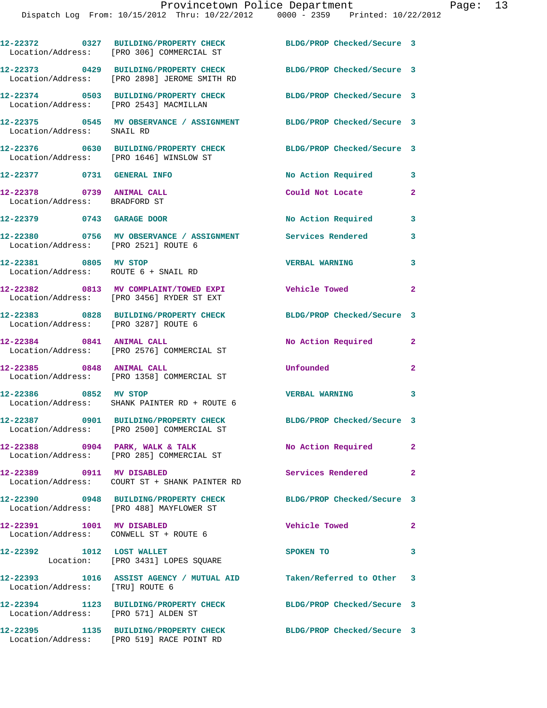|                                                               | 12-22372 0327 BUILDING/PROPERTY CHECK<br>Location/Address: [PRO 306] COMMERCIAL ST    | BLDG/PROP Checked/Secure 3 |                            |
|---------------------------------------------------------------|---------------------------------------------------------------------------------------|----------------------------|----------------------------|
|                                                               | 12-22373 0429 BUILDING/PROPERTY CHECK<br>Location/Address: [PRO 2898] JEROME SMITH RD | BLDG/PROP Checked/Secure 3 |                            |
|                                                               | 12-22374 0503 BUILDING/PROPERTY CHECK<br>Location/Address: [PRO 2543] MACMILLAN       | BLDG/PROP Checked/Secure 3 |                            |
| Location/Address: SNAIL RD                                    | 12-22375 0545 MV OBSERVANCE / ASSIGNMENT BLDG/PROP Checked/Secure 3                   |                            |                            |
|                                                               | 12-22376 0630 BUILDING/PROPERTY CHECK<br>Location/Address: [PRO 1646] WINSLOW ST      | BLDG/PROP Checked/Secure 3 |                            |
| 12-22377 0731 GENERAL INFO                                    |                                                                                       | No Action Required 3       |                            |
| 12-22378 0739 ANIMAL CALL<br>Location/Address: BRADFORD ST    |                                                                                       | Could Not Locate           | $\mathbf{2}$               |
| 12-22379 0743 GARAGE DOOR                                     |                                                                                       | No Action Required         | $\overline{\phantom{a}}$   |
| Location/Address: [PRO 2521] ROUTE 6                          | 12-22380 0756 MV OBSERVANCE / ASSIGNMENT Services Rendered                            |                            | 3                          |
| 12-22381 0805 MV STOP<br>Location/Address: ROUTE 6 + SNAIL RD |                                                                                       | <b>VERBAL WARNING</b>      | 3                          |
|                                                               | 12-22382 0813 MV COMPLAINT/TOWED EXPI<br>Location/Address: [PRO 3456] RYDER ST EXT    | <b>Vehicle Towed</b>       | $\overline{2}$             |
| Location/Address: [PRO 3287] ROUTE 6                          | 12-22383 0828 BUILDING/PROPERTY CHECK                                                 | BLDG/PROP Checked/Secure 3 |                            |
| 12-22384 0841 ANIMAL CALL                                     | Location/Address: [PRO 2576] COMMERCIAL ST                                            | No Action Required         | $\mathbf{2}$               |
| 12-22385 0848 ANIMAL CALL                                     | Location/Address: [PRO 1358] COMMERCIAL ST                                            | Unfounded                  | $\overline{a}$             |
| 12-22386 0852 MV STOP                                         | Location/Address: SHANK PAINTER RD + ROUTE 6                                          | <b>VERBAL WARNING</b>      | $\overline{\phantom{a}}$ 3 |
|                                                               | Location/Address: [PRO 2500] COMMERCIAL ST                                            | BLDG/PROP Checked/Secure 3 |                            |
|                                                               | $12-22388$ 0904 PARK, WALK & TALK<br>Location/Address: [PRO 285] COMMERCIAL ST        | No Action Required         | $\mathbf{2}$               |
| 12-22389 0911 MV DISABLED                                     | Location/Address: COURT ST + SHANK PAINTER RD                                         | Services Rendered 2        |                            |
|                                                               | 12-22390 0948 BUILDING/PROPERTY CHECK<br>Location/Address: [PRO 488] MAYFLOWER ST     | BLDG/PROP Checked/Secure 3 |                            |
| 12-22391 1001 MV DISABLED                                     | Location/Address: CONWELL ST + ROUTE 6                                                | <b>Vehicle Towed</b>       | $\overline{\phantom{a}}$ 2 |
| 12-22392 1012 LOST WALLET                                     | Location: [PRO 3431] LOPES SQUARE                                                     | SPOKEN TO                  | 3                          |
| Location/Address: [TRU] ROUTE 6                               | 12-22393 1016 ASSIST AGENCY / MUTUAL AID Taken/Referred to Other 3                    |                            |                            |
| Location/Address: [PRO 571] ALDEN ST                          | 12-22394 1123 BUILDING/PROPERTY CHECK                                                 | BLDG/PROP Checked/Secure 3 |                            |
|                                                               | 12-22395 1135 BUILDING/PROPERTY CHECK<br>Location/Address: [PRO 519] RACE POINT RD    | BLDG/PROP Checked/Secure 3 |                            |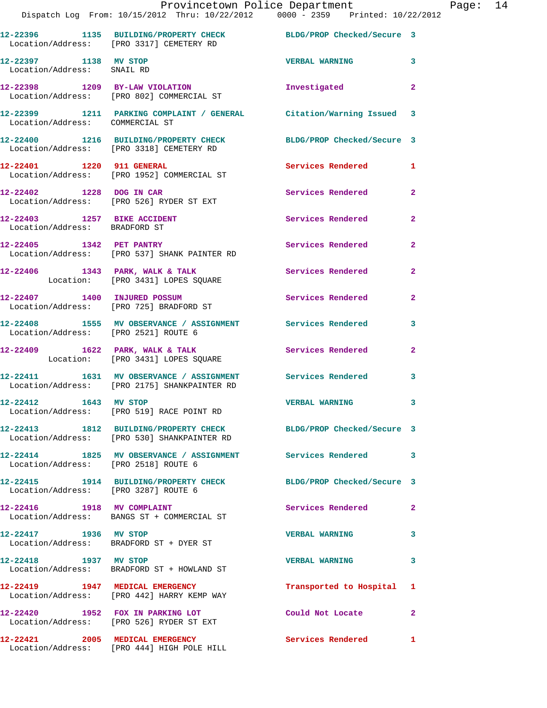|                                                     | Dispatch Log From: 10/15/2012 Thru: 10/22/2012 0000 - 2359 Printed: 10/22/2012                                   | Provincetown Police Department The Rage: 14 |                |  |
|-----------------------------------------------------|------------------------------------------------------------------------------------------------------------------|---------------------------------------------|----------------|--|
|                                                     | 12-22396 1135 BUILDING/PROPERTY CHECK BLDG/PROP Checked/Secure 3<br>Location/Address: [PRO 3317] CEMETERY RD     |                                             |                |  |
| 12-22397 1138 MV STOP<br>Location/Address: SNAIL RD |                                                                                                                  | <b>VERBAL WARNING 3</b>                     |                |  |
|                                                     | 12-22398 1209 BY-LAW VIOLATION Investigated 2<br>Location/Address: [PRO 802] COMMERCIAL ST                       |                                             |                |  |
| Location/Address: COMMERCIAL ST                     | 12-22399 1211 PARKING COMPLAINT / GENERAL Citation/Warning Issued 3                                              |                                             |                |  |
|                                                     | 12-22400 1216 BUILDING/PROPERTY CHECK BLDG/PROP Checked/Secure 3<br>Location/Address: [PRO 3318] CEMETERY RD     |                                             |                |  |
|                                                     | 12-22401 1220 911 GENERAL Services Rendered 1<br>Location/Address: [PRO 1952] COMMERCIAL ST                      |                                             |                |  |
|                                                     | 12-22402 1228 DOG IN CAR<br>Location/Address: [PRO 526] RYDER ST EXT                                             | Services Rendered 2                         |                |  |
| Location/Address: BRADFORD ST                       | 12-22403 1257 BIKE ACCIDENT                                                                                      | Services Rendered                           | $\overline{2}$ |  |
|                                                     | 12-22405 1342 PET PANTRY<br>Location/Address: [PRO 537] SHANK PAINTER RD                                         | Services Rendered 2                         |                |  |
|                                                     | 12-22406 1343 PARK, WALK & TALK Services Rendered<br>Location: [PRO 3431] LOPES SQUARE                           |                                             | $\mathbf{2}$   |  |
|                                                     | 12-22407 1400 INJURED POSSUM<br>Location/Address: [PRO 725] BRADFORD ST                                          | Services Rendered 2                         |                |  |
| Location/Address: [PRO 2521] ROUTE 6                | 12-22408 1555 MV OBSERVANCE / ASSIGNMENT Services Rendered 3                                                     |                                             |                |  |
|                                                     | 12-22409 1622 PARK, WALK & TALK 1991 12-22409 1622 PARK, WALK & TALK 1991 2<br>Location: [PRO 3431] LOPES SQUARE |                                             |                |  |
|                                                     | 12-22411 1631 MV OBSERVANCE / ASSIGNMENT Services Rendered 3<br>Location/Address: [PRO 2175] SHANKPAINTER RD     |                                             |                |  |
| 12-22412 1643 MV STOP                               | Location/Address: [PRO 519] RACE POINT RD                                                                        | <b>VERBAL WARNING</b>                       |                |  |
|                                                     | 12-22413 1812 BUILDING/PROPERTY CHECK BLDG/PROP Checked/Secure 3<br>Location/Address: [PRO 530] SHANKPAINTER RD  |                                             |                |  |
| Location/Address: [PRO 2518] ROUTE 6                | 12-22414 1825 MV OBSERVANCE / ASSIGNMENT Services Rendered 3                                                     |                                             |                |  |
| Location/Address: [PRO 3287] ROUTE 6                | 12-22415 1914 BUILDING/PROPERTY CHECK BLDG/PROP Checked/Secure 3                                                 |                                             |                |  |
|                                                     | 12-22416 1918 MV COMPLAINT<br>Location/Address: BANGS ST + COMMERCIAL ST                                         | Services Rendered 2                         |                |  |
|                                                     | 12-22417 1936 MV STOP<br>Location/Address: BRADFORD ST + DYER ST                                                 | <b>VERBAL WARNING</b>                       | 3              |  |
| 12-22418 1937 MV STOP                               | Location/Address: BRADFORD ST + HOWLAND ST                                                                       | <b>VERBAL WARNING</b>                       | 3              |  |
|                                                     | 12-22419 1947 MEDICAL EMERGENCY<br>Location/Address: [PRO 442] HARRY KEMP WAY                                    | Transported to Hospital 1                   |                |  |
|                                                     | 12-22420 1952 FOX IN PARKING LOT<br>Location/Address: [PRO 526] RYDER ST EXT                                     | Could Not Locate                            | $\mathbf{2}$   |  |
|                                                     | 12-22421 2005 MEDICAL EMERGENCY<br>Location/Address: [PRO 444] HIGH POLE HILL                                    | Services Rendered 1                         |                |  |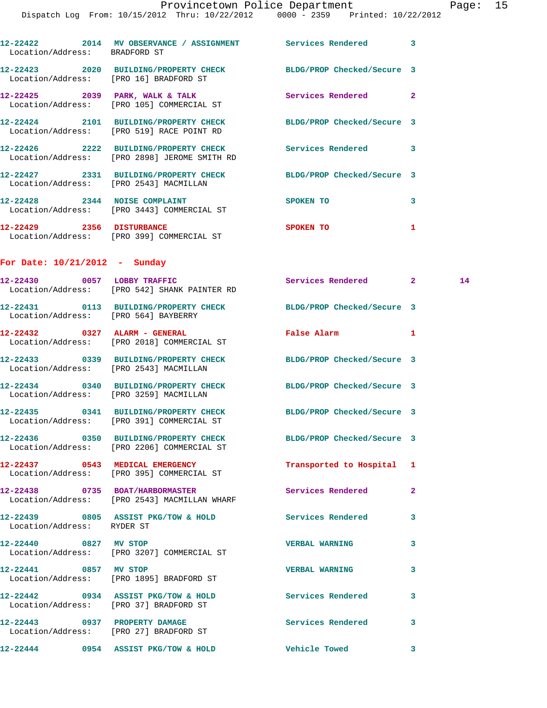| Location/Address: BRADFORD ST          | 12-22422 2014 MV OBSERVANCE / ASSIGNMENT Services Rendered 3                                                  |                               |              |    |
|----------------------------------------|---------------------------------------------------------------------------------------------------------------|-------------------------------|--------------|----|
| Location/Address: [PRO 16] BRADFORD ST | 12-22423 2020 BUILDING/PROPERTY CHECK BLDG/PROP Checked/Secure 3                                              |                               |              |    |
|                                        | $12-22425$ 2039 PARK, WALK & TALK<br>Location/Address: [PRO 105] COMMERCIAL ST                                | Services Rendered 2           |              |    |
|                                        | 12-22424 2101 BUILDING/PROPERTY CHECK BLDG/PROP Checked/Secure 3<br>Location/Address: [PRO 519] RACE POINT RD |                               |              |    |
|                                        | 12-22426 2222 BUILDING/PROPERTY CHECK Services Rendered 3<br>Location/Address: [PRO 2898] JEROME SMITH RD     |                               |              |    |
|                                        | 12-22427 2331 BUILDING/PROPERTY CHECK BLDG/PROP Checked/Secure 3<br>Location/Address: [PRO 2543] MACMILLAN    |                               |              |    |
|                                        | 12-22428 2344 NOISE COMPLAINT<br>Location/Address: [PRO 3443] COMMERCIAL ST                                   | <b>SPOKEN TO</b>              | 3            |    |
|                                        | 12-22429 2356 DISTURBANCE<br>Location/Address: [PRO 399] COMMERCIAL ST                                        | SPOKEN TO                     | 1            |    |
| For Date: $10/21/2012$ - Sunday        |                                                                                                               |                               |              |    |
|                                        | 12-22430 0057 LOBBY TRAFFIC<br>Location/Address: [PRO 542] SHANK PAINTER RD                                   | Services Rendered 2           |              | 14 |
| Location/Address: [PRO 564] BAYBERRY   | 12-22431 0113 BUILDING/PROPERTY CHECK BLDG/PROP Checked/Secure 3                                              |                               |              |    |
|                                        | 12-22432 0327 ALARM - GENERAL<br>Location/Address: [PRO 2018] COMMERCIAL ST                                   | False Alarm<br>$\blacksquare$ |              |    |
| Location/Address: [PRO 2543] MACMILLAN | 12-22433 0339 BUILDING/PROPERTY CHECK                                                                         | BLDG/PROP Checked/Secure 3    |              |    |
| Location/Address: [PRO 3259] MACMILLAN | 12-22434 0340 BUILDING/PROPERTY CHECK BLDG/PROP Checked/Secure 3                                              |                               |              |    |
|                                        | 12-22435 0341 BUILDING/PROPERTY CHECK BLDG/PROP Checked/Secure 3<br>Location/Address: [PRO 391] COMMERCIAL ST |                               |              |    |
|                                        | 12-22436 0350 BUILDING/PROPERTY CHECK<br>Location/Address: [PRO 2206] COMMERCIAL ST                           | BLDG/PROP Checked/Secure 3    |              |    |
|                                        | 12-22437 0543 MEDICAL EMERGENCY<br>Location/Address: [PRO 395] COMMERCIAL ST                                  | Transported to Hospital 1     |              |    |
|                                        | 12-22438 0735 BOAT/HARBORMASTER<br>Location/Address: [PRO 2543] MACMILLAN WHARF                               | Services Rendered             | 2            |    |
| Location/Address: RYDER ST             | 12-22439 0805 ASSIST PKG/TOW & HOLD Services Rendered                                                         |                               | 3            |    |
| 12-22440 0827 MV STOP                  | Location/Address: [PRO 3207] COMMERCIAL ST                                                                    | <b>VERBAL WARNING</b>         | 3            |    |
| 12-22441 0857 MV STOP                  | Location/Address: [PRO 1895] BRADFORD ST                                                                      | <b>VERBAL WARNING</b>         | 3            |    |
| Location/Address: [PRO 37] BRADFORD ST | 12-22442 0934 ASSIST PKG/TOW & HOLD                                                                           | Services Rendered             | 3            |    |
| 12-22443 0937 PROPERTY DAMAGE          | Location/Address: [PRO 27] BRADFORD ST                                                                        | Services Rendered             | 3            |    |
|                                        | 12-22444 0954 ASSIST PKG/TOW & HOLD                                                                           | <b>Vehicle Towed</b>          | $\mathbf{3}$ |    |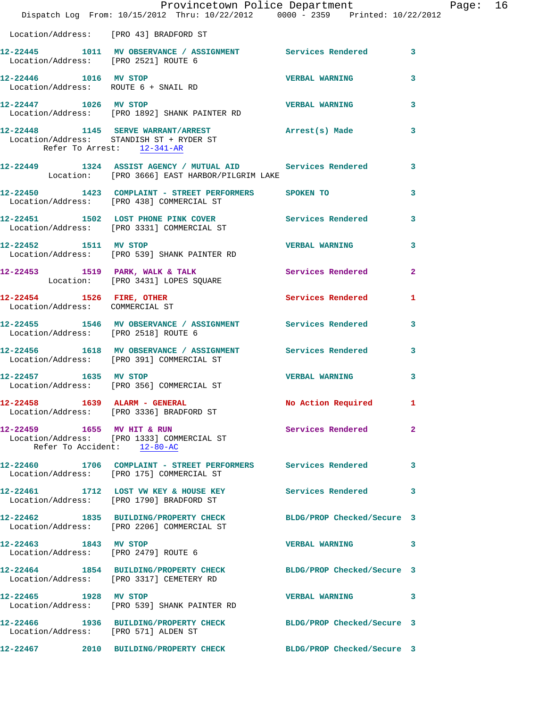|                                                               | Provincetown Police Department Page: 16<br>Dispatch Log From: 10/15/2012 Thru: 10/22/2012 0000 - 2359 Printed: 10/22/2012 |                          |                |  |
|---------------------------------------------------------------|---------------------------------------------------------------------------------------------------------------------------|--------------------------|----------------|--|
| Location/Address: [PRO 43] BRADFORD ST                        |                                                                                                                           |                          |                |  |
| Location/Address: [PRO 2521] ROUTE 6                          | 12-22445 1011 MV OBSERVANCE / ASSIGNMENT Services Rendered 3                                                              |                          |                |  |
|                                                               | 12-22446 1016 MV STOP<br>Location/Address: ROUTE 6 + SNAIL RD                                                             | <b>VERBAL WARNING</b>    | 3              |  |
|                                                               | 12-22447 1026 MV STOP VERBAL WARNING<br>Location/Address: [PRO 1892] SHANK PAINTER RD                                     |                          | 3              |  |
| Refer To Arrest: 12-341-AR                                    | 12-22448 1145 SERVE WARRANT/ARREST Arrest(s) Made<br>Location/Address: STANDISH ST + RYDER ST                             |                          | 3              |  |
|                                                               | 12-22449 1324 ASSIST AGENCY / MUTUAL AID Services Rendered 3<br>Location: [PRO 3666] EAST HARBOR/PILGRIM LAKE             |                          |                |  |
|                                                               | 12-22450 1423 COMPLAINT - STREET PERFORMERS SPOKEN TO<br>Location/Address: [PRO 438] COMMERCIAL ST                        |                          | 3              |  |
|                                                               | 12-22451 1502 LOST PHONE PINK COVER Services Rendered<br>Location/Address: [PRO 3331] COMMERCIAL ST                       |                          | 3              |  |
|                                                               | 12-22452 1511 MV STOP VERBAL WARNING 3<br>Location/Address: [PRO 539] SHANK PAINTER RD                                    |                          |                |  |
|                                                               | 12-22453 1519 PARK, WALK & TALK Services Rendered<br>Location: [PRO 3431] LOPES SQUARE                                    |                          | $\overline{2}$ |  |
|                                                               | 12-22454 1526 FIRE, OTHER Services Rendered 1<br>Location/Address: COMMERCIAL ST                                          |                          |                |  |
| Location/Address: [PRO 2518] ROUTE 6                          | 12-22455 1546 MV OBSERVANCE / ASSIGNMENT Services Rendered                                                                |                          | 3              |  |
|                                                               | 12-22456 1618 MV OBSERVANCE / ASSIGNMENT Services Rendered 3<br>Location/Address: [PRO 391] COMMERCIAL ST                 |                          |                |  |
|                                                               | 12-22457 1635 MV STOP<br>Location/Address: [PRO 356] COMMERCIAL ST                                                        | <b>VERBAL WARNING</b>    | 3              |  |
|                                                               | 12-22458 1639 ALARM - GENERAL<br>Location/Address: [PRO 3336] BRADFORD ST                                                 | No Action Required 1     |                |  |
| Refer To Accident: 12-80-AC                                   | 12-22459 1655 MV HIT & RUN<br>Location/Address: [PRO 1333] COMMERCIAL ST                                                  | <b>Services Rendered</b> | $\overline{2}$ |  |
|                                                               | 12-22460 1706 COMPLAINT - STREET PERFORMERS Services Rendered<br>Location/Address: [PRO 175] COMMERCIAL ST                |                          | 3              |  |
|                                                               | 12-22461 1712 LOST VW KEY & HOUSE KEY Services Rendered<br>Location/Address: [PRO 1790] BRADFORD ST                       |                          | 3              |  |
|                                                               | 12-22462 1835 BUILDING/PROPERTY CHECK BLDG/PROP Checked/Secure 3<br>Location/Address: [PRO 2206] COMMERCIAL ST            |                          |                |  |
| 12-22463 1843 MV STOP<br>Location/Address: [PRO 2479] ROUTE 6 |                                                                                                                           | <b>VERBAL WARNING</b>    | 3              |  |
|                                                               | 12-22464 1854 BUILDING/PROPERTY CHECK BLDG/PROP Checked/Secure 3<br>Location/Address: [PRO 3317] CEMETERY RD              |                          |                |  |
|                                                               | 12-22465 1928 MV STOP<br>Location/Address: [PRO 539] SHANK PAINTER RD                                                     | <b>VERBAL WARNING</b>    | 3.             |  |
| Location/Address: [PRO 571] ALDEN ST                          | 12-22466 1936 BUILDING/PROPERTY CHECK BLDG/PROP Checked/Secure 3                                                          |                          |                |  |
|                                                               | 12-22467 2010 BUILDING/PROPERTY CHECK BLDG/PROP Checked/Secure 3                                                          |                          |                |  |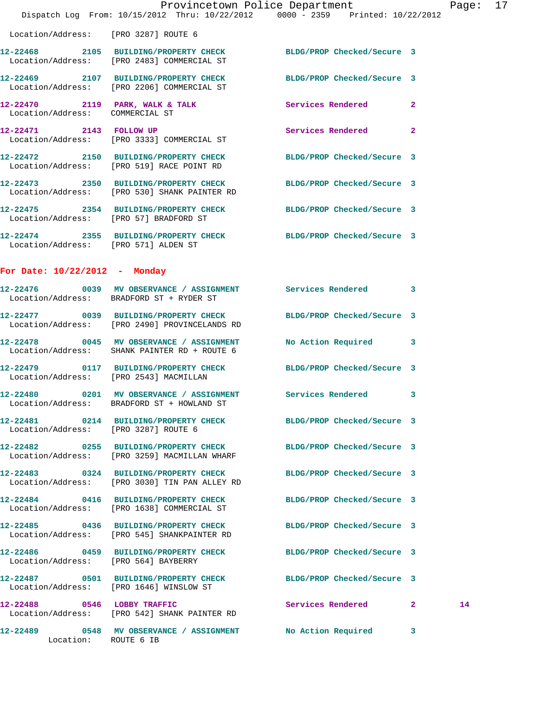|                                        | Provincetown Police Department<br>Dispatch Log From: 10/15/2012 Thru: 10/22/2012 0000 - 2359 Printed: 10/22/2012  |                            |              | Page: $17$ |  |
|----------------------------------------|-------------------------------------------------------------------------------------------------------------------|----------------------------|--------------|------------|--|
| Location/Address: [PRO 3287] ROUTE 6   |                                                                                                                   |                            |              |            |  |
|                                        | 12-22468 2105 BUILDING/PROPERTY CHECK BLDG/PROP Checked/Secure 3<br>Location/Address: [PRO 2483] COMMERCIAL ST    |                            |              |            |  |
|                                        | 12-22469 2107 BUILDING/PROPERTY CHECK BLDG/PROP Checked/Secure 3<br>Location/Address: [PRO 2206] COMMERCIAL ST    |                            |              |            |  |
| Location/Address: COMMERCIAL ST        | 12-22470 2119 PARK, WALK & TALK Services Rendered 2                                                               |                            |              |            |  |
|                                        | 12-22471 2143 FOLLOW UP<br>Location/Address: [PRO 3333] COMMERCIAL ST                                             | Services Rendered          | $\mathbf{2}$ |            |  |
|                                        | 12-22472 2150 BUILDING/PROPERTY CHECK BLDG/PROP Checked/Secure 3<br>Location/Address: [PRO 519] RACE POINT RD     |                            |              |            |  |
|                                        | 12-22473 2350 BUILDING/PROPERTY CHECK<br>Location/Address: [PRO 530] SHANK PAINTER RD                             | BLDG/PROP Checked/Secure 3 |              |            |  |
| Location/Address: [PRO 57] BRADFORD ST | 12-22475 2354 BUILDING/PROPERTY CHECK BLDG/PROP Checked/Secure 3                                                  |                            |              |            |  |
| Location/Address: [PRO 571] ALDEN ST   | 12-22474 2355 BUILDING/PROPERTY CHECK BLDG/PROP Checked/Secure 3                                                  |                            |              |            |  |
| For Date: $10/22/2012$ - Monday        |                                                                                                                   |                            |              |            |  |
|                                        | 12-22476 0039 MV OBSERVANCE / ASSIGNMENT Services Rendered 3<br>Location/Address: BRADFORD ST + RYDER ST          |                            |              |            |  |
|                                        | 12-22477 0039 BUILDING/PROPERTY CHECK<br>Location/Address: [PRO 2490] PROVINCELANDS RD                            | BLDG/PROP Checked/Secure 3 |              |            |  |
|                                        | 12-22478 0045 MV OBSERVANCE / ASSIGNMENT<br>Location/Address: SHANK PAINTER RD + ROUTE 6                          | No Action Required 3       |              |            |  |
| Location/Address: [PRO 2543] MACMILLAN | 12-22479 0117 BUILDING/PROPERTY CHECK BLDG/PROP Checked/Secure 3                                                  |                            |              |            |  |
|                                        | 12-22480 0201 MV OBSERVANCE / ASSIGNMENT Services Rendered 3<br>Location/Address: BRADFORD ST + HOWLAND ST        |                            |              |            |  |
| Location/Address: [PRO 3287] ROUTE 6   | 12-22481 0214 BUILDING/PROPERTY CHECK BLDG/PROP Checked/Secure 3                                                  |                            |              |            |  |
|                                        | 12-22482 0255 BUILDING/PROPERTY CHECK<br>Location/Address: [PRO 3259] MACMILLAN WHARF                             | BLDG/PROP Checked/Secure 3 |              |            |  |
|                                        | 12-22483 0324 BUILDING/PROPERTY CHECK BLDG/PROP Checked/Secure 3<br>Location/Address: [PRO 3030] TIN PAN ALLEY RD |                            |              |            |  |
|                                        | 12-22484 0416 BUILDING/PROPERTY CHECK<br>Location/Address: [PRO 1638] COMMERCIAL ST                               | BLDG/PROP Checked/Secure 3 |              |            |  |
|                                        | 12-22485 0436 BUILDING/PROPERTY CHECK BLDG/PROP Checked/Secure 3<br>Location/Address: [PRO 545] SHANKPAINTER RD   |                            |              |            |  |
| Location/Address: [PRO 564] BAYBERRY   | 12-22486 0459 BUILDING/PROPERTY CHECK BLDG/PROP Checked/Secure 3                                                  |                            |              |            |  |
|                                        | 12-22487 0501 BUILDING/PROPERTY CHECK BLDG/PROP Checked/Secure 3<br>Location/Address: [PRO 1646] WINSLOW ST       |                            |              |            |  |
|                                        | 12-22488 0546 LOBBY TRAFFIC<br>Location/Address: [PRO 542] SHANK PAINTER RD                                       | Services Rendered 2        |              | 14         |  |
| Location: ROUTE 6 IB                   | 12-22489 0548 MV OBSERVANCE / ASSIGNMENT No Action Required                                                       |                            | 3            |            |  |